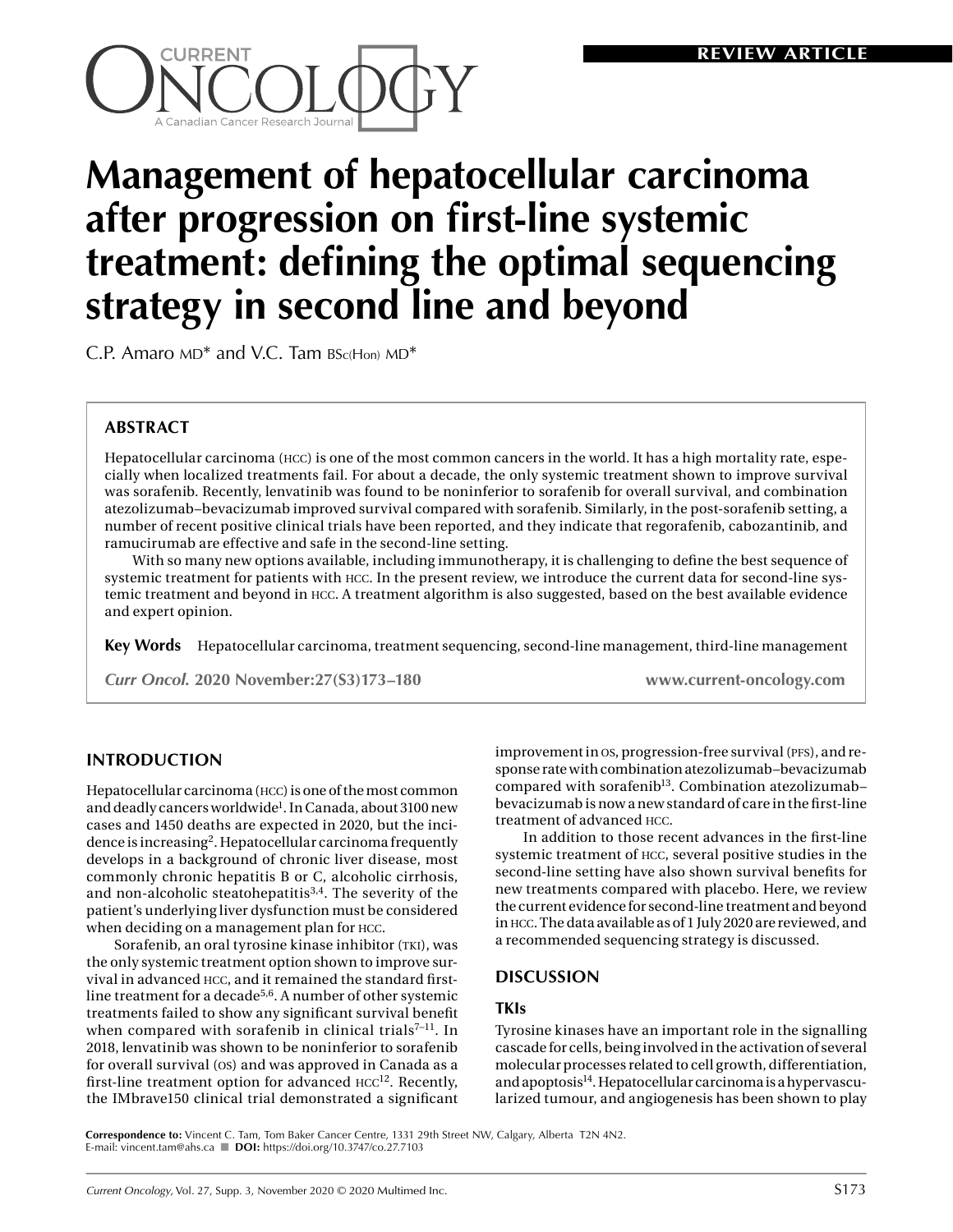

# **Management of hepatocellular carcinoma after progression on first-line systemic treatment: defining the optimal sequencing strategy in second line and beyond**

 $C.P.$  Amaro  $MD^*$  and V.C. Tam  $BSc(Hon)$  MD<sup>\*</sup>

# **ABSTRACT**

Hepatocellular carcinoma (hcc) is one of the most common cancers in the world. It has a high mortality rate, especially when localized treatments fail. For about a decade, the only systemic treatment shown to improve survival was sorafenib. Recently, lenvatinib was found to be noninferior to sorafenib for overall survival, and combination atezolizumab–bevacizumab improved survival compared with sorafenib. Similarly, in the post-sorafenib setting, a number of recent positive clinical trials have been reported, and they indicate that regorafenib, cabozantinib, and ramucirumab are effective and safe in the second-line setting.

With so many new options available, including immunotherapy, it is challenging to define the best sequence of systemic treatment for patients with hcc. In the present review, we introduce the current data for second-line systemic treatment and beyond in hcc. A treatment algorithm is also suggested, based on the best available evidence and expert opinion.

**Key Words** Hepatocellular carcinoma, treatment sequencing, second-line management, third-line management

*Curr Oncol.* **2020 November:27(S3)173–180 www.current-oncology.com**

## **INTRODUCTION**

Hepatocellular carcinoma (hcc) is one of the most common and deadly cancers worldwide<sup>1</sup>. In Canada, about 3100 new cases and 1450 deaths are expected in 2020, but the incidence is increasing2. Hepatocellular carcinoma frequently develops in a background of chronic liver disease, most commonly chronic hepatitis B or C, alcoholic cirrhosis, and non-alcoholic steatohepatitis<sup>3,4</sup>. The severity of the patient's underlying liver dysfunction must be considered when deciding on a management plan for HCC.

Sorafenib, an oral tyrosine kinase inhibitor (TKI), was the only systemic treatment option shown to improve survival in advanced hcc, and it remained the standard firstline treatment for a decade<sup>5,6</sup>. A number of other systemic treatments failed to show any significant survival benefit when compared with sorafenib in clinical trials<sup> $7-11$ </sup>. In 2018, lenvatinib was shown to be noninferior to sorafenib for overall survival (os) and was approved in Canada as a first-line treatment option for advanced  $HCC^{12}$ . Recently, the IMbrave150 clinical trial demonstrated a significant improvement in os, progression-free survival (pfs), and response rate with combination atezolizumab–bevacizumab compared with sorafenib<sup>13</sup>. Combination atezolizumabbevacizumab is now a new standard of care in the first-line treatment of advanced hcc.

In addition to those recent advances in the first-line systemic treatment of hcc, several positive studies in the second-line setting have also shown survival benefits for new treatments compared with placebo. Here, we review the current evidence for second-line treatment and beyond in hcc. The data available as of 1 July 2020 are reviewed, and a recommended sequencing strategy is discussed.

#### **DISCUSSION**

#### **TKIs**

Tyrosine kinases have an important role in the signalling cascade for cells, being involved in the activation of several molecular processes related to cell growth, differentiation, and apoptosis<sup>14</sup>. Hepatocellular carcinoma is a hypervascularized tumour, and angiogenesis has been shown to play

**Correspondence to:** Vincent C. Tam, Tom Baker Cancer Centre, 1331 29th Street NW, Calgary, Alberta T2N 4N2. E-mail: [vincent.tam@ahs.ca](mailto:vincent.tam@ahs.ca) n **DOI:** https://doi.org/10.3747/co.27.7103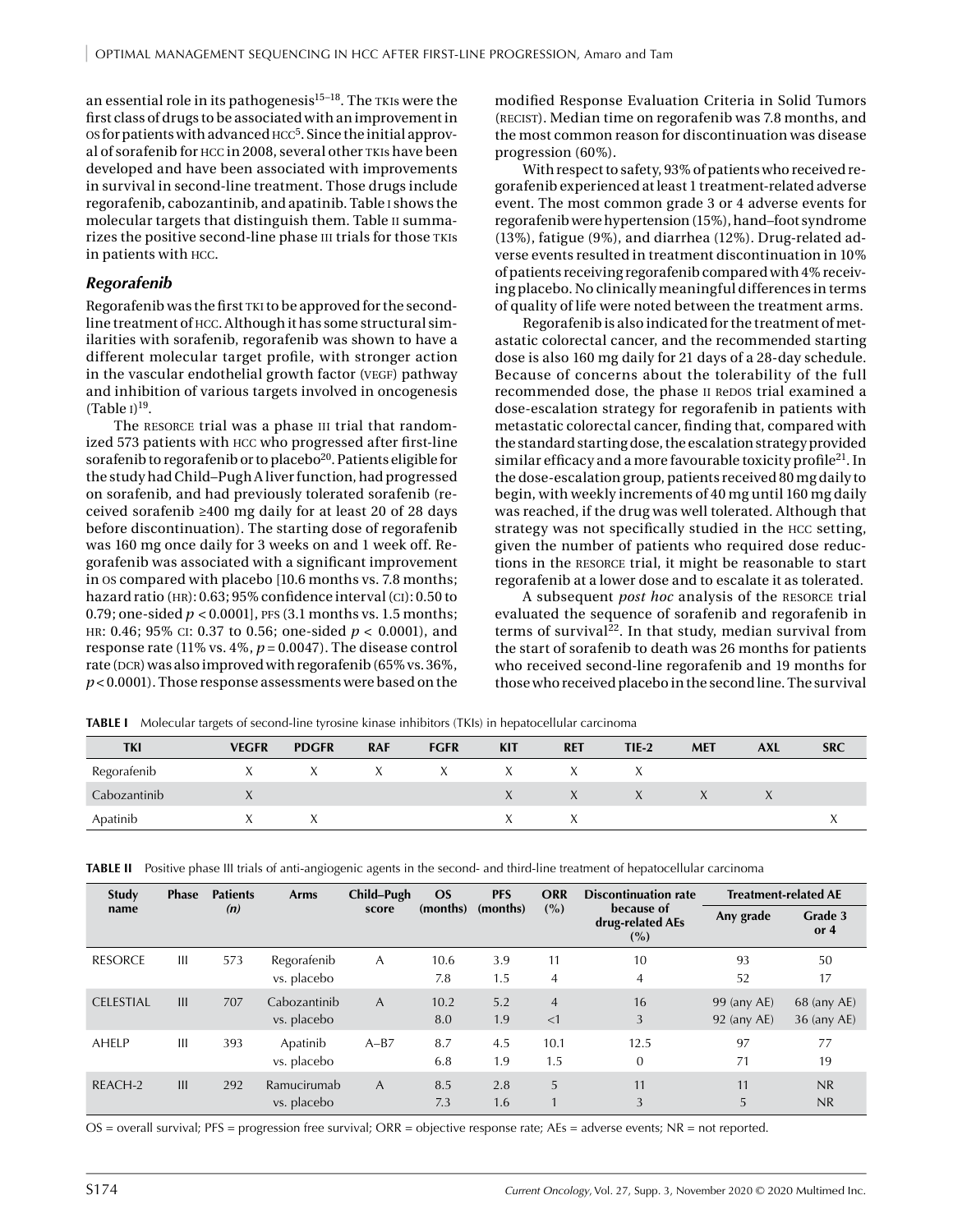an essential role in its pathogenesis $15-18$ . The TKIs were the first class of drugs to be associated with an improvement in os for patients with advanced  $HCC<sup>5</sup>$ . Since the initial approval of sorafenib for hcc in 2008, several other tkis have been developed and have been associated with improvements in survival in second-line treatment. Those drugs include regorafenib, cabozantinib, and apatinib. Table i shows the molecular targets that distinguish them. Table ii summarizes the positive second-line phase III trials for those TKIs in patients with hcc.

#### *Regorafenib*

Regorafenib was the first TKI to be approved for the secondline treatment of hcc. Although it has some structural similarities with sorafenib, regorafenib was shown to have a different molecular target profile, with stronger action in the vascular endothelial growth factor (VEGF) pathway and inhibition of various targets involved in oncogenesis  $(Table I)^{19}$ .

The RESORCE trial was a phase III trial that randomized 573 patients with hcc who progressed after first-line sorafenib to regorafenib or to placebo<sup>20</sup>. Patients eligible for the study had Child–Pugh A liver function, had progressed on sorafenib, and had previously tolerated sorafenib (received sorafenib ≥400 mg daily for at least 20 of 28 days before discontinuation). The starting dose of regorafenib was 160 mg once daily for 3 weeks on and 1 week off. Regorafenib was associated with a significant improvement in os compared with placebo [10.6 months vs. 7.8 months; hazard ratio (hr): 0.63; 95% confidence interval (ci): 0.50 to 0.79; one-sided  $p < 0.0001$ , PFS (3.1 months vs. 1.5 months; hr: 0.46; 95% ci: 0.37 to 0.56; one-sided *p* < 0.0001), and response rate (11% vs. 4%, *p* = 0.0047). The disease control rate (DCR) was also improved with regorafenib (65% vs. 36%, *p* < 0.0001). Those response assessments were based on the modified Response Evaluation Criteria in Solid Tumors (recist). Median time on regorafenib was 7.8 months, and the most common reason for discontinuation was disease progression (60%).

With respect to safety, 93% of patients who received regorafenib experienced at least 1 treatment-related adverse event. The most common grade 3 or 4 adverse events for regorafenib were hypertension (15%), hand–foot syndrome (13%), fatigue (9%), and diarrhea (12%). Drug-related adverse events resulted in treatment discontinuation in 10% of patients receiving regorafenib compared with 4% receiving placebo. No clinically meaningful differences in terms of quality of life were noted between the treatment arms.

Regorafenib is also indicated for the treatment of metastatic colorectal cancer, and the recommended starting dose is also 160 mg daily for 21 days of a 28-day schedule. Because of concerns about the tolerability of the full recommended dose, the phase II ReDOS trial examined a dose-escalation strategy for regorafenib in patients with metastatic colorectal cancer, finding that, compared with the standard starting dose, the escalation strategy provided similar efficacy and a more favourable toxicity profile<sup>21</sup>. In the dose-escalation group, patients received 80 mg daily to begin, with weekly increments of 40 mg until 160 mg daily was reached, if the drug was well tolerated. Although that strategy was not specifically studied in the hcc setting, given the number of patients who required dose reductions in the resorce trial, it might be reasonable to start regorafenib at a lower dose and to escalate it as tolerated.

A subsequent *post hoc* analysis of the resorce trial evaluated the sequence of sorafenib and regorafenib in terms of survival $2^2$ . In that study, median survival from the start of sorafenib to death was 26 months for patients who received second-line regorafenib and 19 months for those who received placebo in the second line. The survival

| <b>INDEE:</b> THOICCUIDE IMPORTANT OF SCCOTIGE HITCH (\$1.05).I.C. RIFLINGUS (THUS) THE HOPOLOCCHUME COLONISTIC |              |              |            |              |            |            |              |            |            |            |
|-----------------------------------------------------------------------------------------------------------------|--------------|--------------|------------|--------------|------------|------------|--------------|------------|------------|------------|
| TKI                                                                                                             | <b>VEGFR</b> | <b>PDGFR</b> | <b>RAF</b> | <b>FGFR</b>  | <b>KIT</b> | <b>RET</b> | $TIE-2$      | <b>MET</b> | <b>AXL</b> | <b>SRC</b> |
| Regorafenib                                                                                                     |              | X            | X          | $\mathsf{X}$ |            |            |              |            |            |            |
| Cabozantinib                                                                                                    |              |              |            |              |            | $X -$      | $\mathsf{X}$ |            | $\lambda$  |            |
| Apatinib                                                                                                        |              |              |            |              |            |            |              |            |            |            |

**TABLE I** Molecular targets of second-line tyrosine kinase inhibitors (TKIs) in hepatocellular carcinoma

**TABLE II** Positive phase III trials of anti-angiogenic agents in the second- and third-line treatment of hepatocellular carcinoma

| Study            | <b>Phase</b> | <b>Patients</b> | Arms                        | Child-Pugh | <b>OS</b>   | <b>PFS</b> | <b>ORR</b>           | <b>Discontinuation rate</b>           |                              | <b>Treatment-related AE</b> |
|------------------|--------------|-----------------|-----------------------------|------------|-------------|------------|----------------------|---------------------------------------|------------------------------|-----------------------------|
| name             |              | (n)             |                             | score      | (months)    | (months)   | (%)                  | because of<br>drug-related AEs<br>(%) | Any grade                    | Grade 3<br>or $4$           |
| <b>RESORCE</b>   | Ш            | 573             | Regorafenib<br>vs. placebo  | A          | 10.6<br>7.8 | 3.9<br>1.5 | 11<br>4              | 10<br>4                               | 93<br>52                     | 50<br>17                    |
| <b>CELESTIAL</b> | III          | 707             | Cabozantinib<br>vs. placebo | A          | 10.2<br>8.0 | 5.2<br>1.9 | $\overline{4}$<br><1 | 16<br>3                               | 99 (any AE)<br>$92$ (any AE) | 68 (any AE)<br>36 (any AE)  |
| AHELP            | Ш            | 393             | Apatinib<br>vs. placebo     | $A-B7$     | 8.7<br>6.8  | 4.5<br>1.9 | 10.1<br>1.5          | 12.5<br>$\Omega$                      | 97<br>71                     | 77<br>19                    |
| REACH-2          | III          | 292             | Ramucirumab<br>vs. placebo  | A          | 8.5<br>7.3  | 2.8<br>1.6 | 5                    | 11<br>3                               | 11<br>5                      | NR<br>NR                    |

OS = overall survival; PFS = progression free survival; ORR = objective response rate; AEs = adverse events; NR = not reported.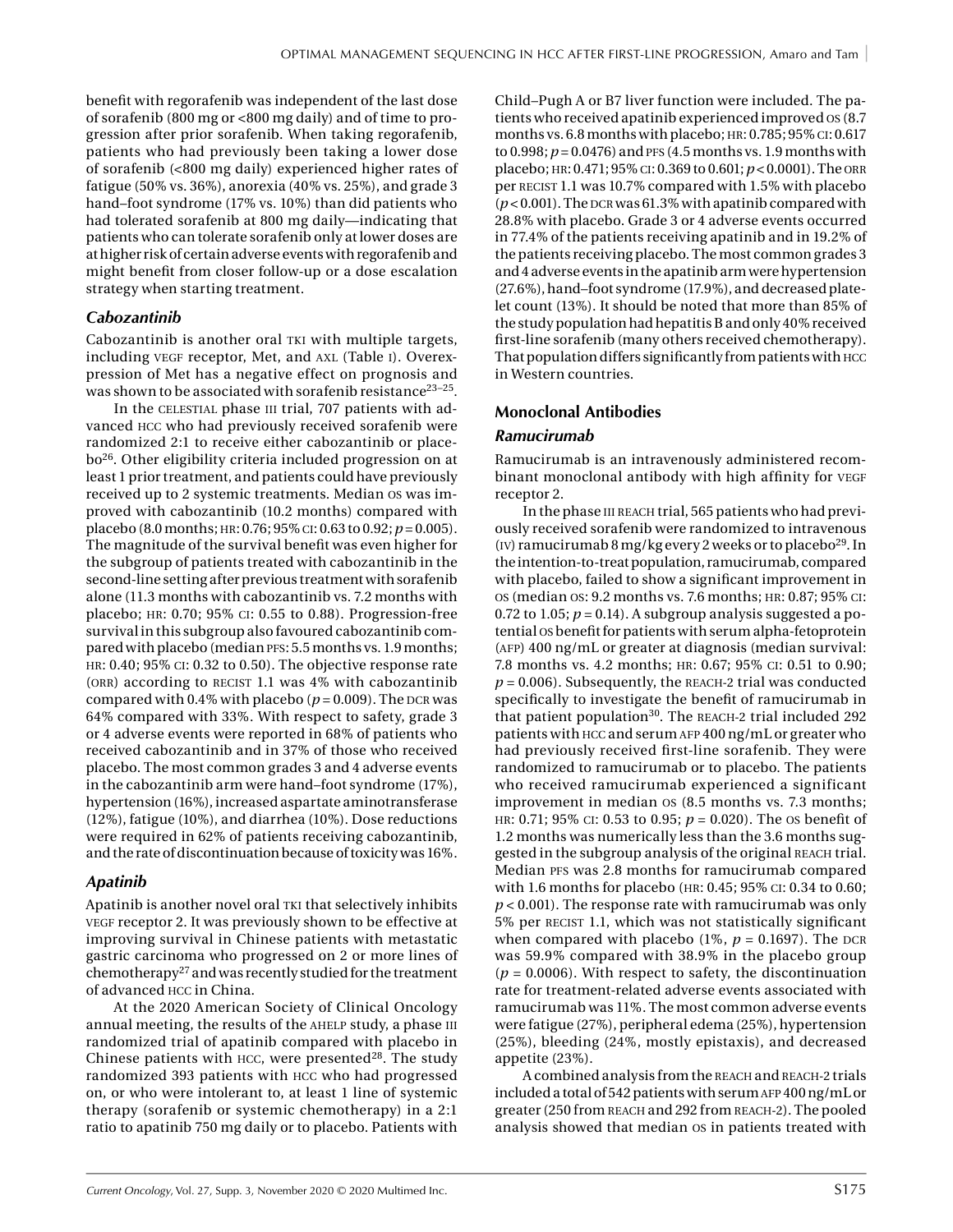benefit with regorafenib was independent of the last dose of sorafenib (800 mg or <800 mg daily) and of time to progression after prior sorafenib. When taking regorafenib, patients who had previously been taking a lower dose of sorafenib (<800 mg daily) experienced higher rates of fatigue (50% vs. 36%), anorexia (40% vs. 25%), and grade 3 hand–foot syndrome (17% vs. 10%) than did patients who had tolerated sorafenib at 800 mg daily—indicating that patients who can tolerate sorafenib only at lower doses are at higher risk of certain adverse events with regorafenib and might benefit from closer follow-up or a dose escalation strategy when starting treatment.

## *Cabozantinib*

Cabozantinib is another oral TKI with multiple targets, including vegf receptor, Met, and AXL (Table I). Overexpression of Met has a negative effect on prognosis and was shown to be associated with sorafenib resistance<sup>23-25</sup>.

In the CELESTIAL phase III trial, 707 patients with advanced hcc who had previously received sorafenib were randomized 2:1 to receive either cabozantinib or placebo26. Other eligibility criteria included progression on at least 1 prior treatment, and patients could have previously received up to 2 systemic treatments. Median os was improved with cabozantinib (10.2 months) compared with placebo (8.0 months; hr: 0.76; 95% ci: 0.63 to 0.92; *p* = 0.005). The magnitude of the survival benefit was even higher for the subgroup of patients treated with cabozantinib in the second-line setting after previous treatment with sorafenib alone (11.3 months with cabozantinib vs. 7.2 months with placebo; hr: 0.70; 95% ci: 0.55 to 0.88). Progression-free survival in this subgroup also favoured cabozantinib compared with placebo (median PFS: 5.5 months vs. 1.9 months; hr: 0.40; 95% ci: 0.32 to 0.50). The objective response rate (ORR) according to RECIST 1.1 was 4% with cabozantinib compared with 0.4% with placebo ( $p = 0.009$ ). The DCR was 64% compared with 33%. With respect to safety, grade 3 or 4 adverse events were reported in 68% of patients who received cabozantinib and in 37% of those who received placebo. The most common grades 3 and 4 adverse events in the cabozantinib arm were hand–foot syndrome (17%), hypertension (16%), increased aspartate aminotransferase (12%), fatigue (10%), and diarrhea (10%). Dose reductions were required in 62% of patients receiving cabozantinib, and the rate of discontinuation because of toxicity was 16%.

## *Apatinib*

Apatinib is another novel oral TKI that selectively inhibits vegf receptor 2. It was previously shown to be effective at improving survival in Chinese patients with metastatic gastric carcinoma who progressed on 2 or more lines of chemotherapy<sup>27</sup> and was recently studied for the treatment of advanced hcc in China.

At the 2020 American Society of Clinical Oncology annual meeting, the results of the AHELP study, a phase III randomized trial of apatinib compared with placebo in Chinese patients with  $HCC$ , were presented<sup>28</sup>. The study randomized 393 patients with hcc who had progressed on, or who were intolerant to, at least 1 line of systemic therapy (sorafenib or systemic chemotherapy) in a 2:1 ratio to apatinib 750 mg daily or to placebo. Patients with

Child–Pugh A or B7 liver function were included. The patients who received apatinib experienced improved os (8.7 months vs. 6.8 months with placebo; hr: 0.785; 95% ci: 0.617 to 0.998;  $p = 0.0476$ ) and PFS (4.5 months vs. 1.9 months with placebo; hr: 0.471; 95% ci: 0.369 to 0.601; *p* < 0.0001). The orr per RECIST 1.1 was 10.7% compared with 1.5% with placebo  $(p<0.001)$ . The DCR was  $61.3\%$  with apatinib compared with 28.8% with placebo. Grade 3 or 4 adverse events occurred in 77.4% of the patients receiving apatinib and in 19.2% of the patients receiving placebo. The most common grades 3 and 4 adverse events in the apatinib arm were hypertension (27.6%), hand–foot syndrome (17.9%), and decreased platelet count (13%). It should be noted that more than 85% of the study population had hepatitis B and only 40% received first-line sorafenib (many others received chemotherapy). That population differs significantly from patients with hcc in Western countries.

## **Monoclonal Antibodies**

#### *Ramucirumab*

Ramucirumab is an intravenously administered recombinant monoclonal antibody with high affinity for VEGF receptor 2.

In the phase III REACH trial, 565 patients who had previously received sorafenib were randomized to intravenous (IV) ramucirumab 8 mg/kg every 2 weeks or to placebo<sup>29</sup>. In the intention-to-treat population, ramucirumab, compared with placebo, failed to show a significant improvement in os (median os: 9.2 months vs. 7.6 months; hr: 0.87; 95% ci: 0.72 to 1.05;  $p = 0.14$ ). A subgroup analysis suggested a potential os benefit for patients with serum alpha-fetoprotein (afp) 400 ng/mL or greater at diagnosis (median survival: 7.8 months vs. 4.2 months; hr: 0.67; 95% ci: 0.51 to 0.90;  $p = 0.006$ ). Subsequently, the REACH-2 trial was conducted specifically to investigate the benefit of ramucirumab in that patient population<sup>30</sup>. The REACH-2 trial included 292 patients with hcc and serum afp 400 ng/mL or greater who had previously received first-line sorafenib. They were randomized to ramucirumab or to placebo. The patients who received ramucirumab experienced a significant improvement in median os (8.5 months vs. 7.3 months; hr: 0.71; 95% ci: 0.53 to 0.95; *p* = 0.020). The os benefit of 1.2 months was numerically less than the 3.6 months suggested in the subgroup analysis of the original reach trial. Median pfs was 2.8 months for ramucirumab compared with 1.6 months for placebo (hr: 0.45; 95% ci: 0.34 to 0.60; *p* < 0.001). The response rate with ramucirumab was only 5% per recist 1.1, which was not statistically significant when compared with placebo  $(1\%, p = 0.1697)$ . The DCR was 59.9% compared with 38.9% in the placebo group  $(p = 0.0006)$ . With respect to safety, the discontinuation rate for treatment-related adverse events associated with ramucirumab was 11%. The most common adverse events were fatigue (27%), peripheral edema (25%), hypertension (25%), bleeding (24%, mostly epistaxis), and decreased appetite (23%).

A combined analysis from the reach and reach-2 trials included a total of 542 patients with serum afp 400ng/mL or greater (250 from reach and 292 from reach-2). The pooled analysis showed that median os in patients treated with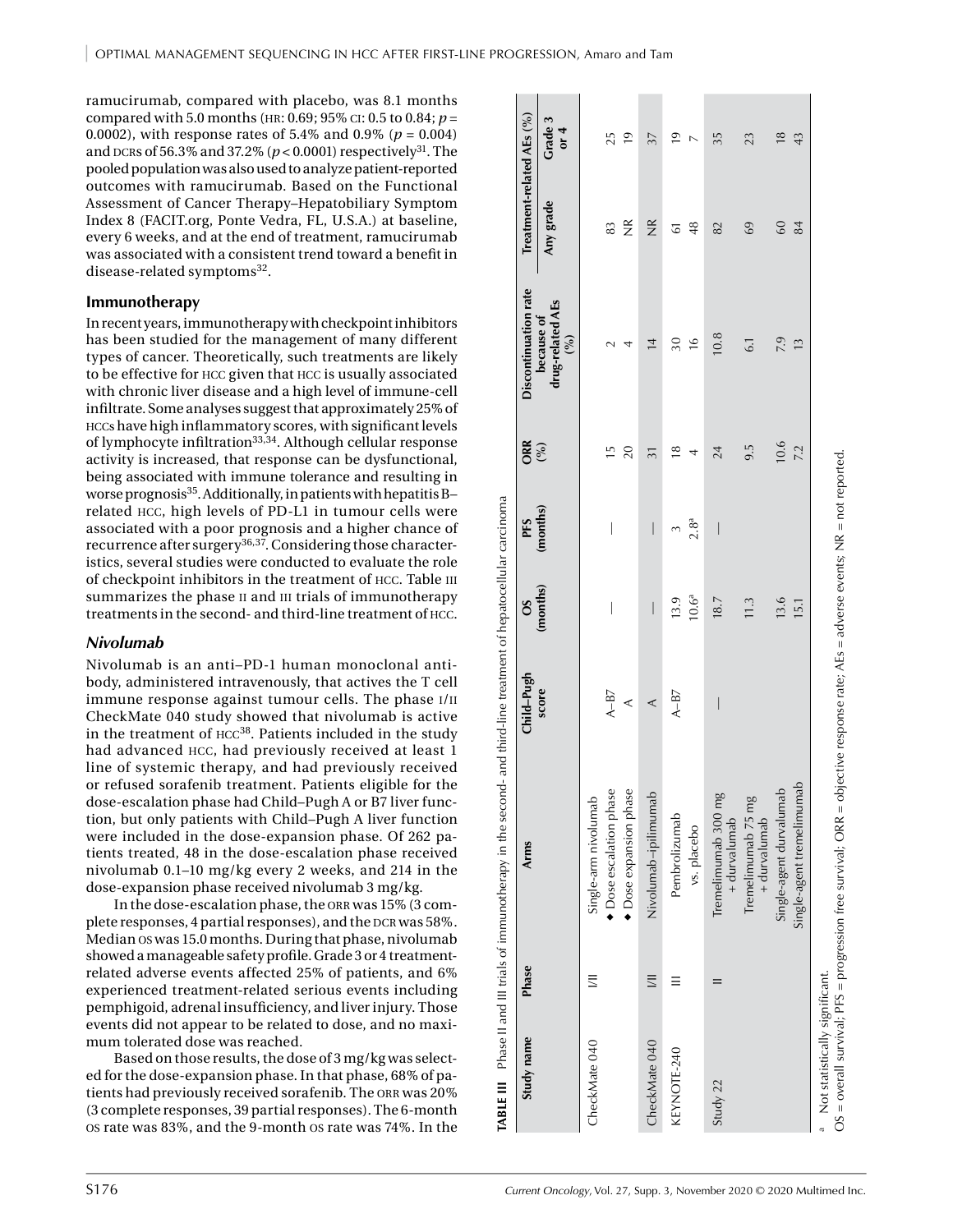ramucirumab, compared with placebo, was 8.1 months compared with 5.0 months (hr: 0.69; 95% ci: 0.5 to 0.84; *p* = 0.0002), with response rates of 5.4% and 0.9% ( $p = 0.004$ ) and DCRs of 56.3% and 37.2% ( $p < 0.0001$ ) respectively<sup>31</sup>. The pooled population was also used to analyze patient-reported outcomes with ramucirumab. Based on the Functional Assessment of Cancer Therapy–Hepatobiliary Symptom Index 8 (FACIT.org, Ponte Vedra, FL, U.S.A.) at baseline, every 6 weeks, and at the end of treatment, ramucirumab was associated with a consistent trend toward a benefit in disease-related symptoms<sup>32</sup>.

#### **Immunotherapy**

In recent years, immunotherapy with checkpoint inhibitors has been studied for the management of many different types of cancer. Theoretically, such treatments are likely to be effective for hcc given that hcc is usually associated with chronic liver disease and a high level of immune-cell infiltrate. Some analyses suggest that approximately 25% of hcc s have high inflammatory scores, with significant levels of lymphocyte infiltration<sup>33,34</sup>. Although cellular response activity is increased, that response can be dysfunctional, being associated with immune tolerance and resulting in worse prognosis<sup>35</sup>. Additionally, in patients with hepatitis Brelated hcc, high levels of PD-L1 in tumour cells were associated with a poor prognosis and a higher chance of recurrence after surgery<sup>36,37</sup>. Considering those characteristics, several studies were conducted to evaluate the role of checkpoint inhibitors in the treatment of hcc. Table iii summarizes the phase II and III trials of immunotherapy treatments in the second- and third-line treatment of hcc .

## *Nivolumab*

Nivolumab is an anti–PD-1 human monoclonal anti body, administered intravenously, that actives the T cell immune response against tumour cells. The phase i /ii CheckMate 040 study showed that nivolumab is active in the treatment of  $HCC^{38}$ . Patients included in the study had advanced hcc, had previously received at least 1 line of systemic therapy, and had previously received or refused sorafenib treatment. Patients eligible for the dose-escalation phase had Child–Pugh A or B7 liver func tion, but only patients with Child–Pugh A liver function were included in the dose-expansion phase. Of 262 pa tients treated, 48 in the dose-escalation phase received nivolumab 0.1–10 mg/kg every 2 weeks, and 214 in the dose-expansion phase received nivolumab 3 mg/kg.

In the dose-escalation phase, the orr was 15% (3 com plete responses, 4 partial responses), and the DCR was 58%. Median os was 15.0 months. During that phase, nivolumab showed a manageable safety profile. Grade 3 or 4 treatmentrelated adverse events affected 25% of patients, and 6% experienced treatment-related serious events including pemphigoid, adrenal insufficiency, and liver injury. Those events did not appear to be related to dose, and no maxi mum tolerated dose was reached.

Based on those results, the dose of 3 mg/kg was select ed for the dose-expansion phase. In that phase, 68% of pa tients had previously received sorafenib. The ORR was 20% (3 complete responses, 39 partial responses). The 6-month os rate was 83%, and the 9-month os rate was 74%. In the

|                                |          | TABLE III Phase II and III trials of immunotherapy in the second- and third-line treatment of hepatocellular carcinoma |                   |                       |                          |                   |                                       |                           |                      |
|--------------------------------|----------|------------------------------------------------------------------------------------------------------------------------|-------------------|-----------------------|--------------------------|-------------------|---------------------------------------|---------------------------|----------------------|
| Study name                     | Phase    | <b>Arms</b>                                                                                                            | Child-Pugh        | $\frac{OS}{(months)}$ | PFS<br>(months)          | $\frac{ORR}{(%)}$ | Discontinuation rate                  | Treatment-related AEs (%) |                      |
|                                |          |                                                                                                                        | score             |                       |                          |                   | drug-related AEs<br>because of<br>(%) | Any grade                 | Grade 3<br>or $4$    |
| CheckMate 040                  |          | Single-arm nivolumab                                                                                                   |                   |                       |                          |                   |                                       |                           |                      |
|                                |          | Dose expansion phase<br>Dose escalation phase                                                                          | $A-B7$<br>$\prec$ |                       |                          | 20<br>E           | 4                                     | $\frac{\alpha}{2}$<br>83  | 25<br>$\overline{9}$ |
| CheckMate 040                  | $\equiv$ | Nivolumab-ipilimumab                                                                                                   | ≺                 | I                     | $\overline{\phantom{a}}$ | $\overline{31}$   | $\overline{4}$                        | $\frac{\alpha}{2}$        | 37                   |
| KEYNOTE-240                    |          | Pembrolizumab                                                                                                          | $A-B7$            | 13.9                  | 3                        | $\frac{8}{10}$    | 30                                    | 5                         | $\overline{e}$       |
|                                |          | vs. placebo                                                                                                            |                   | $10.6^{a}$            | 2.8 <sup>a</sup>         |                   | $\frac{6}{2}$                         | 48                        | $\overline{ }$       |
| Study 22                       |          | Tremelimumab 300 mg<br>+ durvalumab                                                                                    |                   | 18.7                  |                          | 24                | 10.8                                  | 82                        | 35                   |
|                                |          | Tremelimumab 75 mg<br>+ durvalumab                                                                                     |                   | 11.3                  |                          | 9.5               | $\overline{61}$                       | 69                        | 23                   |
|                                |          | Single-agent durvalumab                                                                                                |                   | 13.6                  |                          | 10.6              | 7.9                                   | 60                        | $\frac{8}{10}$       |
|                                |          | Single-agent tremelimumab                                                                                              |                   | 15.1                  |                          | 7.2               | 13                                    | 84                        | 43                   |
| Not statistically significant. |          |                                                                                                                        |                   |                       |                          |                   |                                       |                           |                      |

OS = overall survival; PFS = progression free survival; ORR = objective response rate; AEs = adverse events; NR = not reported.= overall survival; PFS = progression free survival; ORR = objective response rate; AEs = adverse events; NR = not reported

SO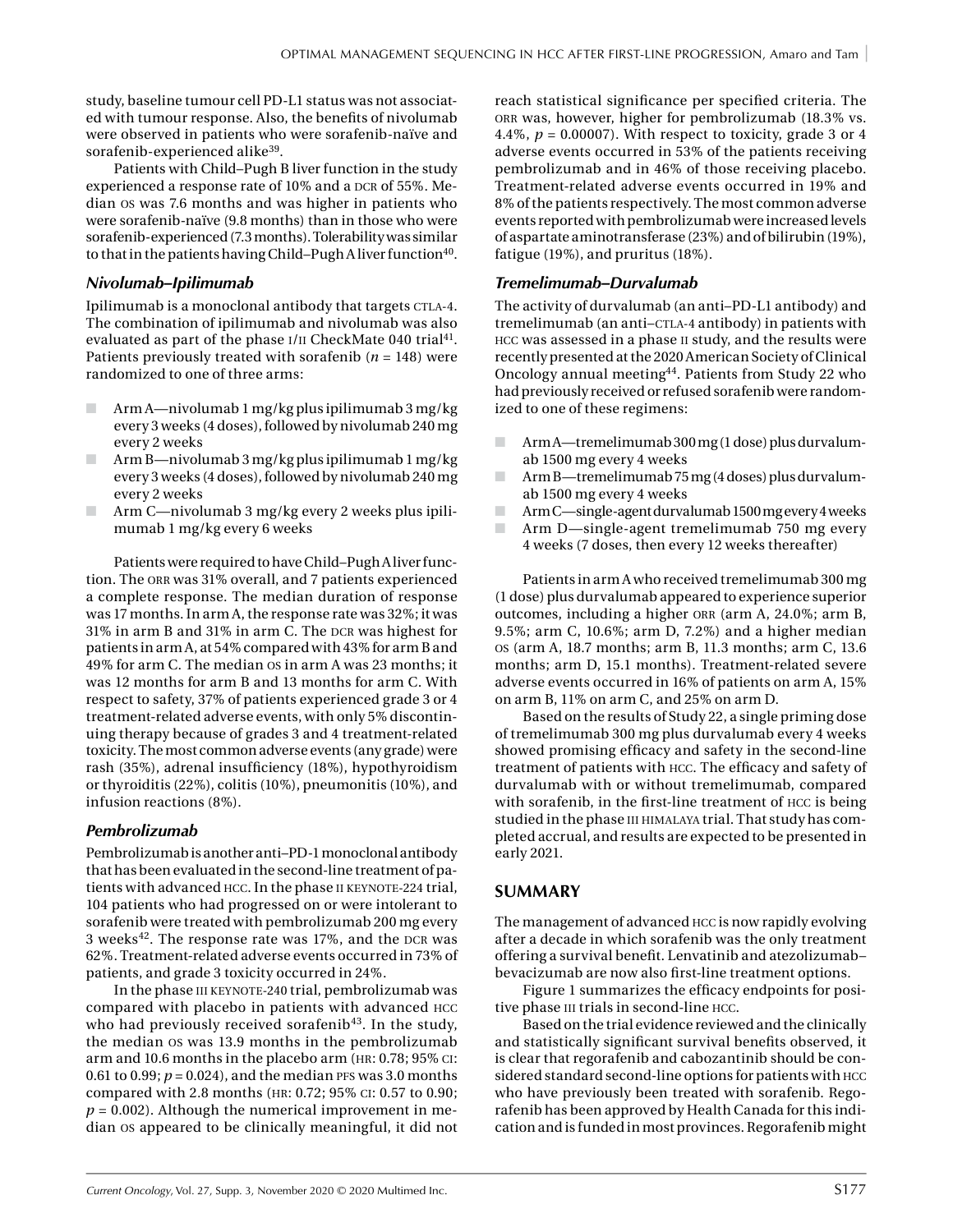study, baseline tumour cell PD-L1 status was not associated with tumour response. Also, the benefits of nivolumab were observed in patients who were sorafenib-naïve and sorafenib-experienced alike<sup>39</sup>.

Patients with Child–Pugh B liver function in the study experienced a response rate of 10% and a DCR of 55%. Median os was 7.6 months and was higher in patients who were sorafenib-naïve (9.8 months) than in those who were sorafenib-experienced (7.3 months). Tolerability was similar to that in the patients having Child–Pugh A liver function $40$ .

#### *Nivolumab–Ipilimumab*

Ipilimumab is a monoclonal antibody that targets CTLA-4. The combination of ipilimumab and nivolumab was also evaluated as part of the phase I/II CheckMate 040 trial<sup>41</sup>. Patients previously treated with sorafenib  $(n = 148)$  were randomized to one of three arms:

- Arm A—nivolumab 1 mg/kg plus ipilimumab 3 mg/kg every 3 weeks (4 doses), followed by nivolumab 240 mg every 2 weeks
- $\Box$  Arm B—nivolumab 3 mg/kg plus ipilimumab 1 mg/kg every 3 weeks (4 doses), followed by nivolumab 240 mg every 2 weeks
- Arm C—nivolumab 3 mg/kg every 2 weeks plus ipilimumab 1 mg/kg every 6 weeks

Patients were required to have Child–PughA liver function. The ORR was 31% overall, and 7 patients experienced a complete response. The median duration of response was 17 months. In arm A, the response rate was 32%; it was 31% in arm B and 31% in arm C. The DCR was highest for patients in arm A, at 54% compared with 43% for arm B and 49% for arm C. The median os in arm A was 23 months; it was 12 months for arm B and 13 months for arm C. With respect to safety, 37% of patients experienced grade 3 or 4 treatment-related adverse events, with only 5% discontinuing therapy because of grades 3 and 4 treatment-related toxicity. The most common adverse events (any grade) were rash (35%), adrenal insufficiency (18%), hypothyroidism or thyroiditis (22%), colitis (10%), pneumonitis (10%), and infusion reactions (8%).

## *Pembrolizumab*

Pembrolizumab is another anti–PD-1 monoclonal antibody that has been evaluated in the second-line treatment of patients with advanced HCC. In the phase II KEYNOTE-224 trial, 104 patients who had progressed on or were intolerant to sorafenib were treated with pembrolizumab 200 mg every 3 weeks<sup>42</sup>. The response rate was  $17\%$ , and the DCR was 62%. Treatment-related adverse events occurred in 73% of patients, and grade 3 toxicity occurred in 24%.

In the phase III KEYNOTE-240 trial, pembrolizumab was compared with placebo in patients with advanced hcc who had previously received sorafenib $43$ . In the study, the median os was 13.9 months in the pembrolizumab arm and 10.6 months in the placebo arm (hr: 0.78; 95% ci: 0.61 to 0.99;  $p = 0.024$ ), and the median PFS was 3.0 months compared with 2.8 months (hr: 0.72; 95% ci: 0.57 to 0.90;  $p = 0.002$ ). Although the numerical improvement in median os appeared to be clinically meaningful, it did not

reach statistical significance per specified criteria. The orr was, however, higher for pembrolizumab (18.3% vs. 4.4%,  $p = 0.00007$ ). With respect to toxicity, grade 3 or 4 adverse events occurred in 53% of the patients receiving pembrolizumab and in 46% of those receiving placebo. Treatment-related adverse events occurred in 19% and 8% of the patients respectively. The most common adverse events reported with pembrolizumab were increased levels of aspartate aminotransferase (23%) and of bilirubin (19%), fatigue (19%), and pruritus (18%).

#### *Tremelimumab–Durvalumab*

The activity of durvalumab (an anti–PD-L1 antibody) and tremelimumab (an anti-CTLA-4 antibody) in patients with hcc was assessed in a phase ii study, and the results were recently presented at the 2020 American Society of Clinical Oncology annual meeting<sup>44</sup>. Patients from Study 22 who had previously received or refused sorafenib were randomized to one of these regimens:

- Arm A—tremelimumab 300mg (1 dose) plus durvalumab 1500 mg every 4 weeks
- Arm B—tremelimumab 75mg (4 doses) plus durvalumab 1500 mg every 4 weeks
- Arm C—single-agent durvalumab 1500mg every 4 weeks
- Arm D—single-agent tremelimumab 750 mg every 4 weeks (7 doses, then every 12 weeks thereafter)

Patients in arm A who received tremelimumab 300 mg (1 dose) plus durvalumab appeared to experience superior outcomes, including a higher ORR (arm A, 24.0%; arm B, 9.5%; arm C, 10.6%; arm D, 7.2%) and a higher median os (arm A, 18.7 months; arm B, 11.3 months; arm C, 13.6 months; arm D, 15.1 months). Treatment-related severe adverse events occurred in 16% of patients on arm A, 15% on arm B, 11% on arm C, and 25% on arm D.

Based on the results of Study 22, a single priming dose of tremelimumab 300 mg plus durvalumab every 4 weeks showed promising efficacy and safety in the second-line treatment of patients with hcc. The efficacy and safety of durvalumab with or without tremelimumab, compared with sorafenib, in the first-line treatment of hcc is being studied in the phase III HIMALAYA trial. That study has completed accrual, and results are expected to be presented in early 2021.

## **SUMMARY**

The management of advanced hcc is now rapidly evolving after a decade in which sorafenib was the only treatment offering a survival benefit. Lenvatinib and atezolizumab– bevacizumab are now also first-line treatment options.

Figure 1 summarizes the efficacy endpoints for positive phase III trials in second-line HCC.

Based on the trial evidence reviewed and the clinically and statistically significant survival benefits observed, it is clear that regorafenib and cabozantinib should be considered standard second-line options for patients with HCC who have previously been treated with sorafenib. Regorafenib has been approved by Health Canada for this indication and is funded in most provinces. Regorafenib might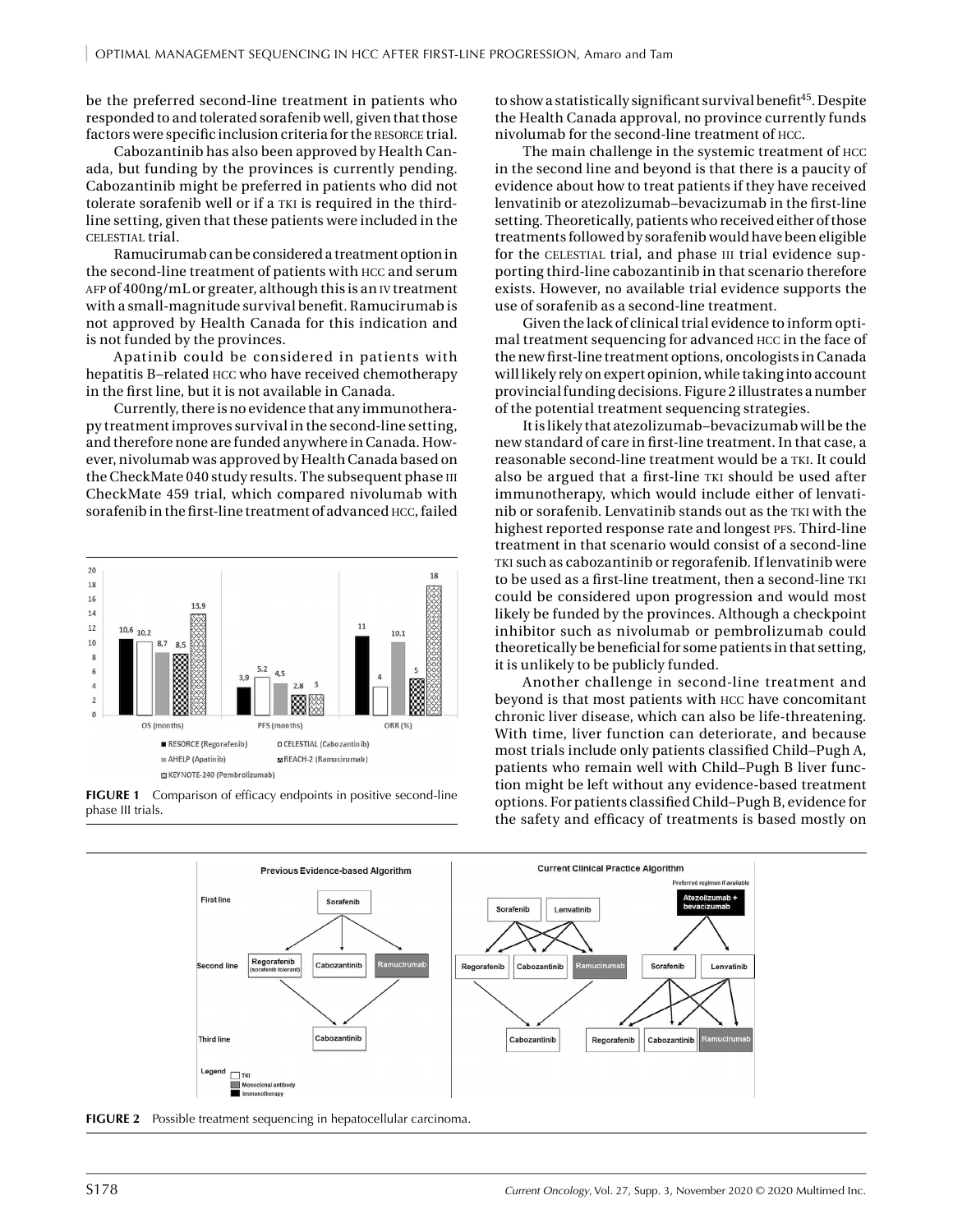be the preferred second-line treatment in patients who responded to and tolerated sorafenib well, given that those factors were specific inclusion criteria for the resorce trial.

Cabozantinib has also been approved by Health Canada, but funding by the provinces is currently pending. Cabozantinib might be preferred in patients who did not tolerate sorafenib well or if a TKI is required in the thirdline setting, given that these patients were included in the celestial trial.

Ramucirumab can be considered a treatment option in the second-line treatment of patients with hcc and serum AFP of 400ng/mL or greater, although this is an IV treatment with a small-magnitude survival benefit. Ramucirumab is not approved by Health Canada for this indication and is not funded by the provinces.

Apatinib could be considered in patients with hepatitis B–related hcc who have received chemotherapy in the first line, but it is not available in Canada.

Currently, there is no evidence that any immunotherapy treatment improves survival in the second-line setting, and therefore none are funded anywhere in Canada. However, nivolumab was approved by Health Canada based on the CheckMate 040 study results. The subsequent phase III CheckMate 459 trial, which compared nivolumab with sorafenib in the first-line treatment of advanced HCC, failed



**FIGURE 1** Comparison of efficacy endpoints in positive second-line phase III trials.

to show a statistically significant survival benefit<sup>45</sup>. Despite the Health Canada approval, no province currently funds nivolumab for the second-line treatment of hcc.

The main challenge in the systemic treatment of hcc in the second line and beyond is that there is a paucity of evidence about how to treat patients if they have received lenvatinib or atezolizumab–bevacizumab in the first-line setting. Theoretically, patients who received either of those treatments followed by sorafenib would have been eligible for the CELESTIAL trial, and phase III trial evidence supporting third-line cabozantinib in that scenario therefore exists. However, no available trial evidence supports the use of sorafenib as a second-line treatment.

Given the lack of clinical trial evidence to inform optimal treatment sequencing for advanced hcc in the face of the new first-line treatment options, oncologists in Canada will likely rely on expert opinion, while taking into account provincial funding decisions. Figure 2 illustrates a number of the potential treatment sequencing strategies.

It is likely that atezolizumab–bevacizumab will be the new standard of care in first-line treatment. In that case, a reasonable second-line treatment would be a TKI. It could also be argued that a first-line TKI should be used after immunotherapy, which would include either of lenvatinib or sorafenib. Lenvatinib stands out as the tki with the highest reported response rate and longest PFS. Third-line treatment in that scenario would consist of a second-line tki such as cabozantinib or regorafenib. If lenvatinib were to be used as a first-line treatment, then a second-line TKI could be considered upon progression and would most likely be funded by the provinces. Although a checkpoint inhibitor such as nivolumab or pembrolizumab could theoretically be beneficial for some patients in that setting, it is unlikely to be publicly funded.

Another challenge in second-line treatment and beyond is that most patients with hcc have concomitant chronic liver disease, which can also be life-threatening. With time, liver function can deteriorate, and because most trials include only patients classified Child–Pugh A, patients who remain well with Child–Pugh B liver function might be left without any evidence-based treatment options. For patients classified Child–Pugh B, evidence for the safety and efficacy of treatments is based mostly on



**FIGURE 2** Possible treatment sequencing in hepatocellular carcinoma.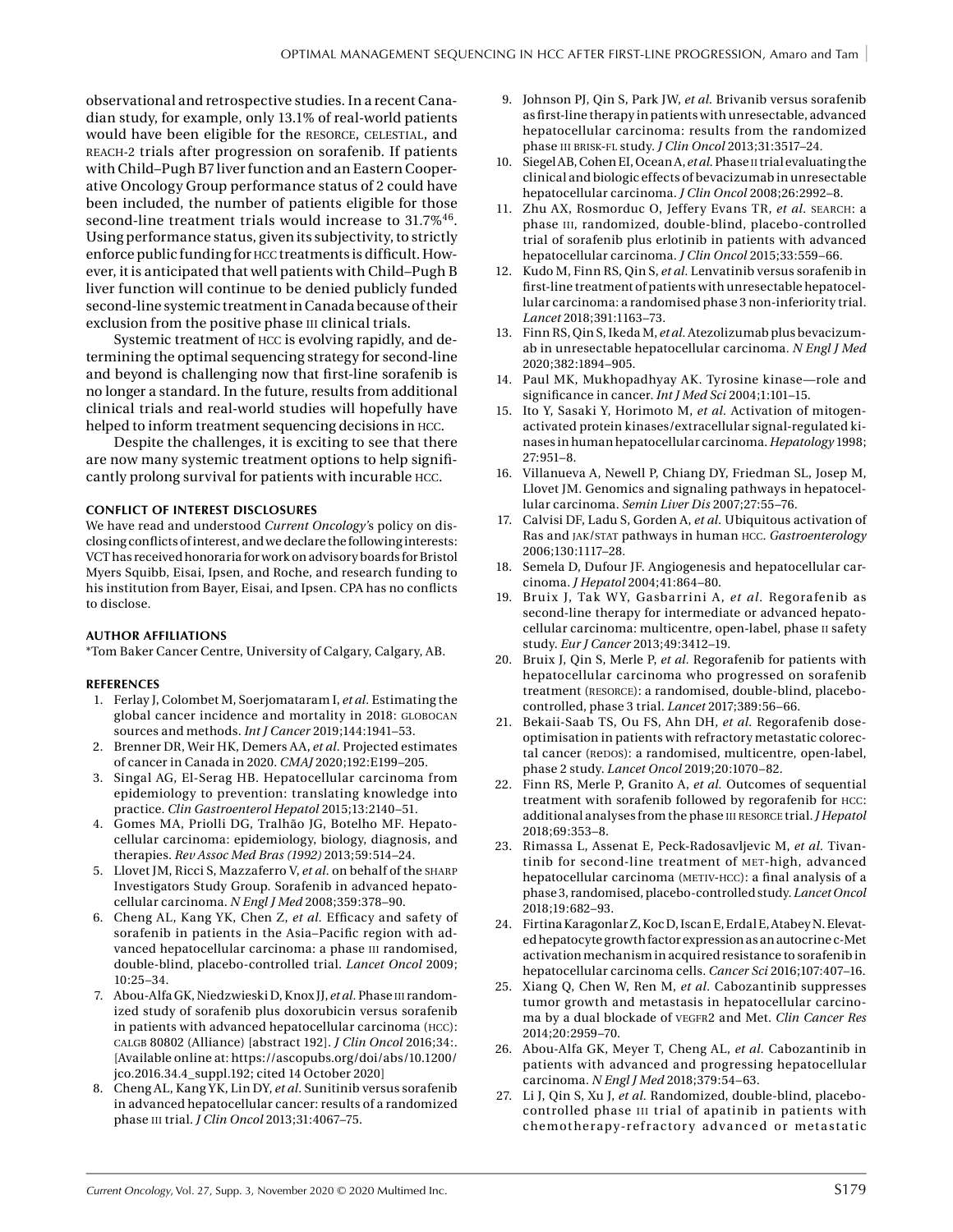observational and retrospective studies. In a recent Canadian study, for example, only 13.1% of real-world patients would have been eligible for the resorce, celestial, and reach-2 trials after progression on sorafenib. If patients with Child–Pugh B7 liver function and an Eastern Cooperative Oncology Group performance status of 2 could have been included, the number of patients eligible for those second-line treatment trials would increase to 31.7%<sup>46</sup>. Using performance status, given its subjectivity, to strictly enforce public funding for hcc treatments is difficult. However, it is anticipated that well patients with Child–Pugh B liver function will continue to be denied publicly funded second-line systemic treatment in Canada because of their exclusion from the positive phase III clinical trials.

Systemic treatment of hcc is evolving rapidly, and determining the optimal sequencing strategy for second-line and beyond is challenging now that first-line sorafenib is no longer a standard. In the future, results from additional clinical trials and real-world studies will hopefully have helped to inform treatment sequencing decisions in hcc.

Despite the challenges, it is exciting to see that there are now many systemic treatment options to help significantly prolong survival for patients with incurable hcc.

#### **CONFLICT OF INTEREST DISCLOSURES**

We have read and understood *Current Oncology'*s policy on disclosing conflicts of interest, and we declare the following interests: VCT has received honoraria for work on advisory boards for Bristol Myers Squibb, Eisai, Ipsen, and Roche, and research funding to his institution from Bayer, Eisai, and Ipsen. CPA has no conflicts to disclose.

#### **AUTHOR AFFILIATIONS**

\*Tom Baker Cancer Centre, University of Calgary, Calgary, AB.

#### **REFERENCES**

- 1. Ferlay J, Colombet M, Soerjomataram I, *et al.* Estimating the global cancer incidence and mortality in 2018: globocan sources and methods. *Int J Cancer* 2019;144:1941–53.
- 2. Brenner DR, Weir HK, Demers AA, *et al.* Projected estimates of cancer in Canada in 2020. *CMAJ* 2020;192:E199–205.
- 3. Singal AG, El-Serag HB. Hepatocellular carcinoma from epidemiology to prevention: translating knowledge into practice. *Clin Gastroenterol Hepatol* 2015;13:2140–51.
- 4. Gomes MA, Priolli DG, Tralhão JG, Botelho MF. Hepatocellular carcinoma: epidemiology, biology, diagnosis, and therapies. *Rev Assoc Med Bras (1992)* 2013;59:514–24.
- 5. Llovet JM, Ricci S, Mazzaferro V, *et al.* on behalf of the sharp Investigators Study Group. Sorafenib in advanced hepatocellular carcinoma. *N Engl J Med* 2008;359:378–90.
- 6. Cheng AL, Kang YK, Chen Z, *et al.* Efficacy and safety of sorafenib in patients in the Asia–Pacific region with advanced hepatocellular carcinoma: a phase III randomised, double-blind, placebo-controlled trial. *Lancet Oncol* 2009; 10:25–34.
- 7. Abou-Alfa GK, Niedzwieski D, Knox JJ, *et al.* Phase iii randomized study of sorafenib plus doxorubicin versus sorafenib in patients with advanced hepatocellular carcinoma (hcc): calgb 80802 (Alliance) [abstract 192]. *J Clin Oncol* 2016;34:. [Available online at: [https://ascopubs.org/doi/abs/10.1200/](https://ascopubs.org/doi/abs/10.1200/jco.2016.34.4_suppl.192) [jco.2016.34.4\\_suppl.192](https://ascopubs.org/doi/abs/10.1200/jco.2016.34.4_suppl.192); cited 14 October 2020]
- 8. Cheng AL, Kang YK, Lin DY, *et al.* Sunitinib versus sorafenib in advanced hepatocellular cancer: results of a randomized phase iii trial. *J Clin Oncol* 2013;31:4067–75.
- 9. Johnson PJ, Qin S, Park JW, *et al.* Brivanib versus sorafenib as first-line therapy in patients with unresectable, advanced hepatocellular carcinoma: results from the randomized phase iii brisk-fl study. *J Clin Oncol* 2013;31:3517–24.
- 10. Siegel AB, Cohen EI, Ocean A, *et al.* Phase ii trial evaluating the clinical and biologic effects of bevacizumab in unresectable hepatocellular carcinoma. *J Clin Oncol* 2008;26:2992–8.
- 11. Zhu AX, Rosmorduc O, Jeffery Evans TR, *et al.* search: a phase III, randomized, double-blind, placebo-controlled trial of sorafenib plus erlotinib in patients with advanced hepatocellular carcinoma. *J Clin Oncol* 2015;33:559–66.
- 12. Kudo M, Finn RS, Qin S, *et al.* Lenvatinib versus sorafenib in first-line treatment of patients with unresectable hepatocellular carcinoma: a randomised phase 3 non-inferiority trial. *Lancet* 2018;391:1163–73.
- 13. Finn RS, Qin S, Ikeda M, *et al.* Atezolizumab plus bevacizumab in unresectable hepatocellular carcinoma. *N Engl J Med* 2020;382:1894–905.
- 14. Paul MK, Mukhopadhyay AK. Tyrosine kinase—role and significance in cancer. *Int J Med Sci* 2004;1:101–15.
- 15. Ito Y, Sasaki Y, Horimoto M, *et al.* Activation of mitogenactivated protein kinases/extracellular signal-regulated kinases in human hepatocellular carcinoma. *Hepatology* 1998; 27:951–8.
- 16. Villanueva A, Newell P, Chiang DY, Friedman SL, Josep M, Llovet JM. Genomics and signaling pathways in hepatocellular carcinoma. *Semin Liver Dis* 2007;27:55–76.
- 17. Calvisi DF, Ladu S, Gorden A, *et al.* Ubiquitous activation of Ras and jak/stat pathways in human hcc. *Gastroenterology* 2006;130:1117–28.
- 18. Semela D, Dufour JF. Angiogenesis and hepatocellular carcinoma. *J Hepatol* 2004;41:864–80.
- 19. Bruix J, Tak WY, Gasbarrini A, et al. Regorafenib as second-line therapy for intermediate or advanced hepatocellular carcinoma: multicentre, open-label, phase ii safety study. *Eur J Cancer* 2013;49:3412–19.
- 20. Bruix J, Qin S, Merle P, *et al.* Regorafenib for patients with hepatocellular carcinoma who progressed on sorafenib treatment (resorce): a randomised, double-blind, placebocontrolled, phase 3 trial. *Lancet* 2017;389:56–66.
- 21. Bekaii-Saab TS, Ou FS, Ahn DH, *et al.* Regorafenib doseoptimisation in patients with refractory metastatic colorectal cancer (ReDOS): a randomised, multicentre, open-label, phase 2 study. *Lancet Oncol* 2019;20:1070–82.
- 22. Finn RS, Merle P, Granito A, *et al.* Outcomes of sequential treatment with sorafenib followed by regorafenib for hcc: additional analyses from the phase iii resorce trial. *J Hepatol* 2018;69:353–8.
- 23. Rimassa L, Assenat E, Peck-Radosavljevic M, *et al.* Tivantinib for second-line treatment of MET-high, advanced hepatocellular carcinoma (METIV-HCC): a final analysis of a phase 3, randomised, placebo-controlled study. *Lancet Oncol* 2018;19:682–93.
- 24. Firtina Karagonlar Z, Koc D, Iscan E, Erdal E, Atabey N. Elevated hepatocyte growth factor expression as an autocrine c-Met activation mechanism in acquired resistance to sorafenib in hepatocellular carcinoma cells. *Cancer Sci* 2016;107:407–16.
- 25. Xiang Q, Chen W, Ren M, *et al.* Cabozantinib suppresses tumor growth and metastasis in hepatocellular carcinoma by a dual blockade of vegfr2 and Met. *Clin Cancer Res* 2014;20:2959–70.
- 26. Abou-Alfa GK, Meyer T, Cheng AL, *et al.* Cabozantinib in patients with advanced and progressing hepatocellular carcinoma. *N Engl J Med* 2018;379:54–63.
- 27. Li J, Qin S, Xu J, *et al.* Randomized, double-blind, placebocontrolled phase III trial of apatinib in patients with chemotherapy-refractory advanced or metastatic